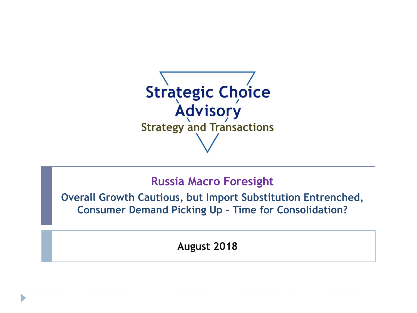

## **Russia Macro Foresight**

**Overall Growth Cautious, but Import Substitution Entrenched, Consumer Demand Picking Up – Time for Consolidation?**

**August 2018**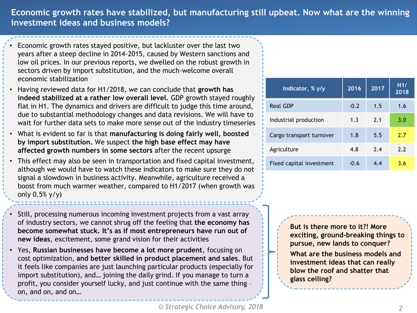**Economic growth rates have stabilized, but manufacturing still upbeat. Now what are the winning investment ideas and business models?** 

- Economic growth rates stayed positive, but lackluster over the last two years after a steep decline in 2014-2015, caused by Western sanctions and low oil prices. In our previous reports, we dwelled on the robust growth in sectors driven by import substitution, and the much-welcome overall economic stabilization
- Having reviewed data for H1/2018, we can conclude that **growth has indeed stabilized at a rather low overall level.** GDP growth stayed roughly flat in H1. The dynamics and drivers are difficult to judge this time around, due to substantial methodology changes and data revisions. We will have to wait for further data sets to make more sense out of the industry timeseries
- What is evident so far is that **manufacturing is doing fairly well, boosted by import substitution.** We suspect **the high base effect may have affected growth numbers in some sectors** after the recent upsurge
- This effect may also be seen in transportation and fixed capital investment, although we would have to watch these indicators to make sure they do not signal a slowdown in business activity. Meanwhile, agriculture received a boost from much warmer weather, compared to H1/2017 (when growth was only 0.5% y/y)
- Still, processing numerous incoming investment projects from a vast array of industry sectors, we cannot shrug off the feeling that **the economy has become somewhat stuck. It's as if most entrepreneurs have run out of new ideas**, excitement, some grand vision for their activities
- Yes, **Russian businesses have become a lot more prudent**, focusing on cost optimization, **and better skilled in product placement and sales**. But it feels like companies are just launching particular products (especially for import substitution), and… joining the daily grind. If you manage to turn a profit, you consider yourself lucky, and just continue with the same thing – on, and on, and on…

| Indicator, % y/y         | 2016   | $\overline{20}17$ | H1/<br>2018 |
|--------------------------|--------|-------------------|-------------|
| <b>Real GDP</b>          | $-0.2$ | 1.5               | 1.6         |
| Industrial production    | 1.3    | 2.1               | 3.0         |
| Cargo transport turnover | 1.8    | 5.5               | 2.7         |
| Agriculture              | 4.8    | 7.4               | 2.2         |
| Fixed capital investment | $-0.6$ | 4.4               | 3.6         |

**But is there more to it?! More exciting, ground-breaking things to pursue, new lands to conquer?** 

**What are the business models and investment ideas that can really blow the roof and shatter that glass ceiling?**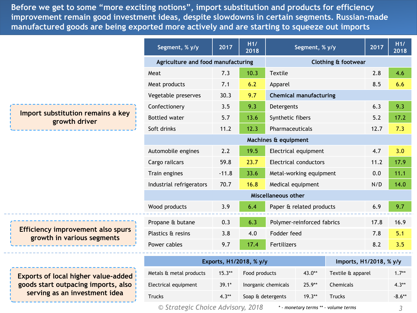**Table remain good investment ideas, despite slowdowns in certain segments. Russian-made in the set of the set o<br>And the contract of the set of the set of the set of the set of the set of the set of the set of the set of t Before we get to some "more exciting notions", import substitution and products for efficiency manufactured goods are being exported more actively and are starting to squeeze out imports**

|                                                    | Segment, % y/y                     | 2017    | H1/<br>2018 | Segment, % y/y                 | 2017 | H1/<br>2018 |  |  |
|----------------------------------------------------|------------------------------------|---------|-------------|--------------------------------|------|-------------|--|--|
|                                                    | Agriculture and food manufacturing |         |             | <b>Clothing &amp; footwear</b> |      |             |  |  |
|                                                    | Meat                               | 7.3     | 10.3        | <b>Textile</b>                 | 2.8  | 4.6         |  |  |
|                                                    | Meat products                      | 7.1     | 6.2         | Apparel                        | 8.5  | 6.6         |  |  |
|                                                    | Vegetable preserves                | 30.3    | 9.7         | <b>Chemical manufacturing</b>  |      |             |  |  |
|                                                    | Confectionery                      | 3.5     | 9.3         | Detergents                     | 6.3  | 9.3         |  |  |
| Import substitution remains a key<br>growth driver | <b>Bottled water</b>               | 5.7     | 13.6        | Synthetic fibers               | 5.2  | 17.2        |  |  |
|                                                    | Soft drinks                        | 11.2    | 12.3        | Pharmaceuticals                | 12.7 | 7.3         |  |  |
|                                                    | Machines & equipment               |         |             |                                |      |             |  |  |
|                                                    | Automobile engines                 | 2.2     | 19.5        | Electrical equipment           | 4.7  | 3.0         |  |  |
|                                                    | Cargo railcars                     | 59.8    | 23.7        | Electrical conductors          | 11.2 | 17.9        |  |  |
|                                                    | Train engines                      | $-11.8$ | 33.6        | Metal-working equipment        | 0.0  | 11.1        |  |  |
|                                                    | Industrial refrigerators           | 70.7    | 16.8        | Medical equipment              | N/D  | 14.0        |  |  |
|                                                    | Miscellaneous other                |         |             |                                |      |             |  |  |
|                                                    | Wood products                      | 3.9     | 6.4         | Paper & related products       | 6.9  | 9.7         |  |  |
|                                                    | Propane & butane                   | 0.3     | 6.3         | Polymer-reinforced fabrics     | 17.8 | 16.9        |  |  |
| Efficiency improvement also spurs                  | Plastics & resins                  | 3.8     | 4.0         | Fodder feed                    | 7.8  | 5.1         |  |  |
| growth in various segments                         | Power cables                       | 9.7     | 17.4        | Fertilizers                    | 8.2  | 3.5         |  |  |
|                                                    |                                    |         |             |                                |      |             |  |  |

**Exports of local higher value-added goods start outpacing imports, also serving as an investment idea**

| Exports, H1/2018, % y/y           | Imports, H1/2018, % y/y |                     |          |                                      |          |
|-----------------------------------|-------------------------|---------------------|----------|--------------------------------------|----------|
| Metals & metal products           | $15.3**$                | Food products       | $43.0**$ | Textile & apparel                    | $1.7**$  |
| Electrical equipment              | $39.1*$                 | Inorganic chemicals | $25.9**$ | Chemicals                            | $4.3**$  |
| <b>Trucks</b>                     | $4.3**$                 | Soap & detergents   | $19.3**$ | <b>Trucks</b>                        | $-8.6**$ |
| © Strategic Choice Advisory, 2018 |                         |                     |          | * - monetary terms ** - volume terms |          |

*\* - monetary terms \*\* - volume terms*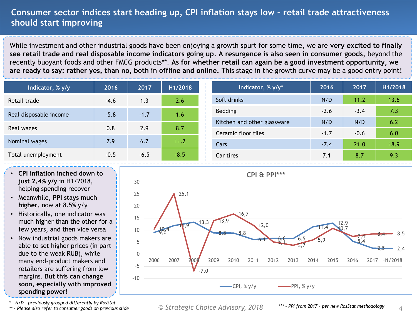## **Consumer sector indices start heading up, CPI inflation stays low – retail trade attractiveness should start improving**

While investment and other industrial goods have been enjoying a growth spurt for some time, we are **very excited to finally see retail trade and real disposable income indicators going up**. **A resurgence is also seen in consumer goods,** beyond the recently buoyant foods and other FMCG products\*\*. **As for whether retail can again be a good investment opportunity, we are ready to say: rather yes, than no, both in offline and online.** This stage in the growth curve may be a good entry point!

| Indicator, % y/y       | 2016   | 2017   | H1/2018 |                     | Indicator, % y/y*           | 2016   | 2017   | H1/2018 |
|------------------------|--------|--------|---------|---------------------|-----------------------------|--------|--------|---------|
| Retail trade           | $-4.6$ | 1.3    | 2.6     |                     | Soft drinks                 | N/D    | 11.2   | 13.6    |
| Real disposable income | $-5.8$ | $-1.7$ | 1.6     |                     | Bedding                     | $-2.6$ | $-3.4$ | 7.3     |
|                        |        |        |         |                     | Kitchen and other glassware | N/D    | N/D    | 6.2     |
| Real wages             | 0.8    | 2.9    | 8.7     | Ceramic floor tiles | $-1.7$                      | $-0.6$ | 6.0    |         |
| Nominal wages          | 7.9    | 6.7    | 11.2    |                     | Cars                        | $-7.4$ | 21.0   | 18.9    |
| Total unemployment     | $-0.5$ | $-6.5$ | $-8.5$  |                     | Car tires                   | 7.1    | 8.7    | 9.3     |

- **CPI inflation inched down to just 2.4% y/y** in H1/2018, helping spending recover
- Meanwhile, **PPI stays much higher**, now at 8.5% y/y
- Historically, one indicator was much higher than the other for a few years, and then vice versa
- Now industrial goods makers are able to set higher prices (in part due to the weak RUB), while many end-product makers and retailers are suffering from low margins. **But this can change soon, especially with improved spending power!**



*\* - N/D – previously grouped differently by RosStat*

*\*\* - Please also refer to consumer goods on previous slide*

*© Strategic Choice Advisory, 2018 4 \*\*\* - PPI from 2017 – per new RosStat methodology*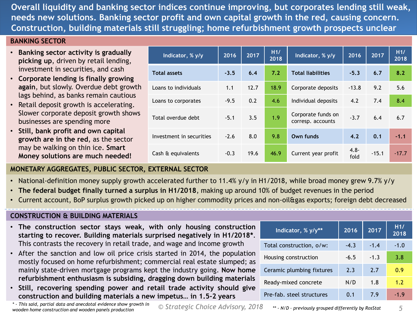**Overall liquidity and banking sector indices continue improving, but corporates lending still weak, needs new solutions. Banking sector profit and own capital growth in the red, causing concern. Construction, building materials still struggling; home refurbishment growth prospects unclear**

#### **BANKING SECTOR**

- **Banking sector activity is gradually picking up**, driven by retail lending, investment in securities, and cash
- **Corporate lending is finally growing again**, but slowly. Overdue debt growth lags behind, as banks remain cautious
- Retail deposit growth is accelerating. Slower corporate deposit growth shows businesses are spending more
- **Still, bank profit and own capital growth are in the red**, as the sector may be walking on thin ice. **Smart Money solutions are much needed!**

| Indicator, % y/y         | 2016   | 2017 | H17<br>2018 | Indicator, % y/y                        | 2016            | 2017    | H1/<br>2018 |
|--------------------------|--------|------|-------------|-----------------------------------------|-----------------|---------|-------------|
| <b>Total assets</b>      | $-3.5$ | 6.4  | 7.2         | <b>Total liabilities</b>                | $-5.3$          | 6.7     | 8.2         |
| Loans to individuals     | 1.1    | 12.7 | 18.9        | Corporate deposits                      | $-13.8$         | 9.2     | 5.6         |
| Loans to corporates      | $-9.5$ | 0.2  | 4.6         | Individual deposits                     | 4.2             | 7.4     | 8.4         |
| Total overdue debt       | $-5.1$ | 3.5  | 1.9         | Corporate funds on<br>corresp. accounts | $-3.7$          | 6.4     | 6.7         |
| Investment in securities | $-2.6$ | 8.0  | 9.8         | Own funds                               | 4.2             | 0.1     | $-1.1$      |
| Cash & equivalents       | $-0.3$ | 19.6 | 46.9        | Current year profit                     | $4.8 -$<br>fold | $-15.1$ | $-17.7$     |

#### **MONETARY AGGREGATES, PUBLIC SECTOR, EXTERNAL SECTOR**

- National-definition money supply growth accelerated further to 11.4% y/y in H1/2018, while broad money grew 9.7% y/y
- **The federal budget finally turned a surplus in H1/2018**, making up around 10% of budget revenues in the period
- Current account, BoP surplus growth picked up on higher commodity prices and non-oil&gas exports; foreign debt decreased

#### **CONSTRUCTION & BUILDING MATERIALS**

- **The construction sector stays weak, with only housing construction starting to recover. Building materials surprised negatively in H1/2018\***. This contrasts the recovery in retail trade, and wage and income growth
- After the sanction and low oil price crisis started in 2014, the population mostly focused on home refurbishment; commercial real estate slumped; as mainly state-driven mortgage programs kept the industry going. **Now home refurbishment enthusiasm is subsiding, dragging down building materials**
- **Still, recovering spending power and retail trade activity should give construction and building materials a new impetus… in 1.5-2 years**

*\* - This said, partial data and anecdotal evidence show growth in wooden home construction and wooden panels production*

*© Strategic Choice Advisory, 2018 5 \*\* - N/D – previously grouped differently by RosStat*

| Indicator, % y/y**        | 2016   | 2017   | H17<br>2018 |
|---------------------------|--------|--------|-------------|
| Total construction, o/w:  | $-4.3$ | $-1.4$ | $-1.0$      |
| Housing construction      | $-6.5$ | $-1.3$ | 3.8         |
| Ceramic plumbing fixtures | 2.3    | 2.7    | 0.9         |
| Ready-mixed concrete      | N/D    | 1.8    | 1.2         |
| Pre-fab. steel structures | 0.1    | 7.9    | $-1.9$      |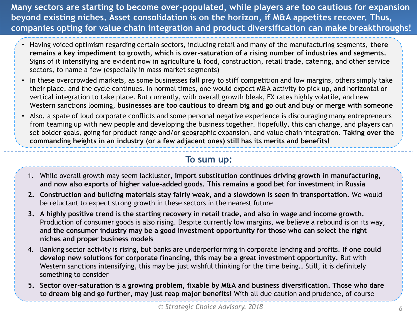**Many sectors are starting to become over-populated, while players are too cautious for expansion beyond existing niches. Asset consolidation is on the horizon, if M&A appetites recover. Thus, companies opting for value chain integration and product diversification can make breakthroughs!**

- Having voiced optimism regarding certain sectors, including retail and many of the manufacturing segments, **there remains a key impediment to growth, which is over-saturation of a rising number of industries and segments.**  Signs of it intensifying are evident now in agriculture & food, construction, retail trade, catering, and other service sectors, to name a few (especially in mass market segments)
- In these overcrowded markets, as some businesses fall prey to stiff competition and low margins, others simply take their place, and the cycle continues. In normal times, one would expect M&A activity to pick up, and horizontal or vertical integration to take place. But currently, with overall growth bleak, FX rates highly volatile, and new Western sanctions looming, **businesses are too cautious to dream big and go out and buy or merge with someone**
- Also, a spate of loud corporate conflicts and some personal negative experience is discouraging many entrepreneurs from teaming up with new people and developing the business together. Hopefully, this can change, and players can set bolder goals, going for product range and/or geographic expansion, and value chain integration. **Taking over the commanding heights in an industry (or a few adjacent ones) still has its merits and benefits!**

## **To sum up:**

- 1. While overall growth may seem lackluster, **import substitution continues driving growth in manufacturing, and now also exports of higher value-added goods. This remains a good bet for investment in Russia**
- **2. Construction and building materials stay fairly weak, and a slowdown is seen in transportation.** We would be reluctant to expect strong growth in these sectors in the nearest future
- **3. A highly positive trend is the starting recovery in retail trade, and also in wage and income growth.**  Production of consumer goods is also rising. Despite currently low margins, we believe a rebound is on its way, and **the consumer industry may be a good investment opportunity for those who can select the right niches and proper business models**
- 4. Banking sector activity is rising, but banks are underperforming in corporate lending and profits. **If one could develop new solutions for corporate financing, this may be a great investment opportunity.** But with Western sanctions intensifying, this may be just wishful thinking for the time being… Still, it is definitely something to consider
- **5. Sector over-saturation is a growing problem, fixable by M&A and business diversification. Those who dare to dream big and go further, may just reap major benefits!** With all due caution and prudence, of course